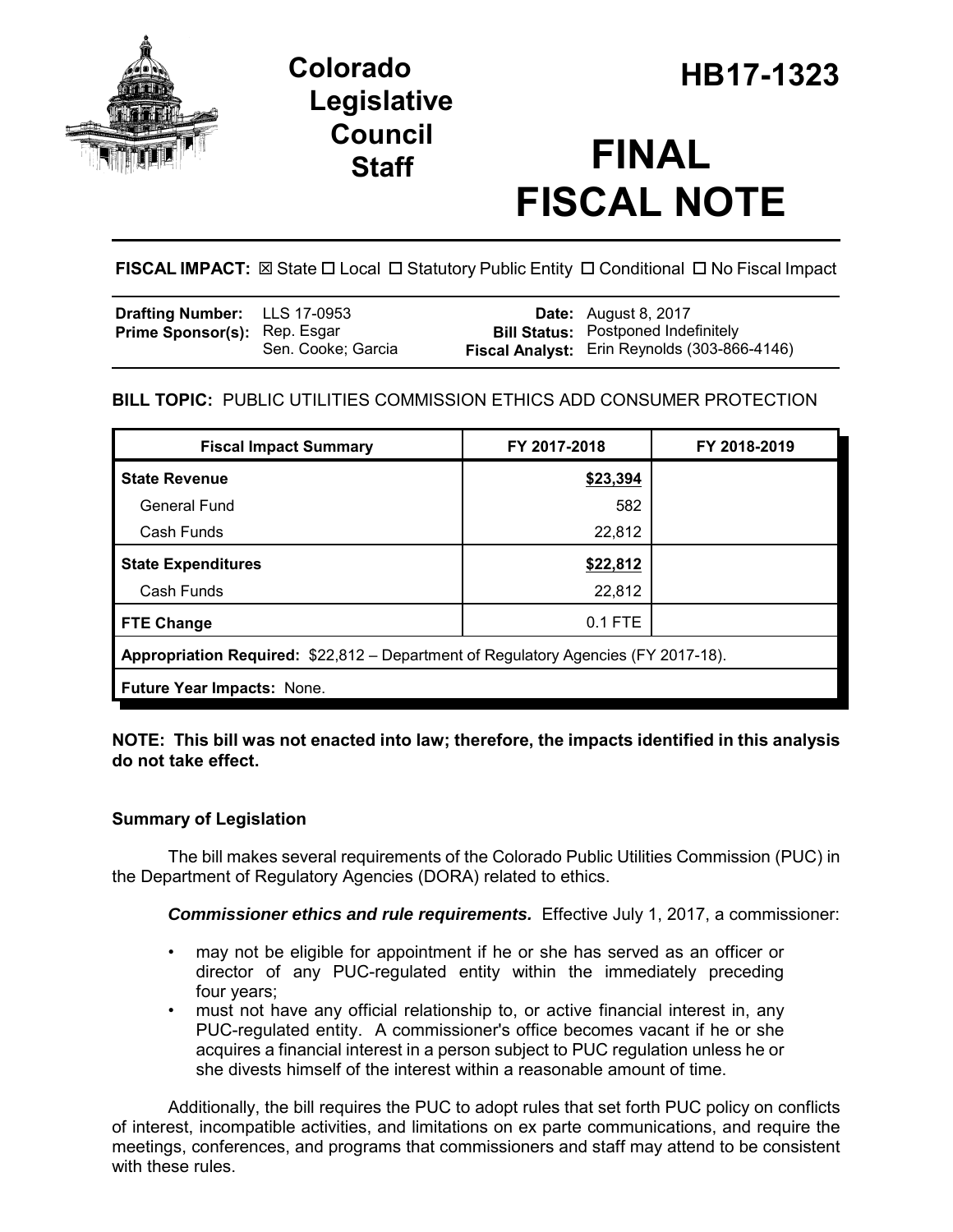

# **Legislative Council**

# **Staff FINAL FISCAL NOTE**

**FISCAL IMPACT:**  $\boxtimes$  State  $\Box$  Local  $\Box$  Statutory Public Entity  $\Box$  Conditional  $\Box$  No Fiscal Impact

| <b>Drafting Number:</b> LLS 17-0953 |                    | <b>Date:</b> August 8, 2017                  |
|-------------------------------------|--------------------|----------------------------------------------|
| <b>Prime Sponsor(s): Rep. Esgar</b> |                    | <b>Bill Status:</b> Postponed Indefinitely   |
|                                     | Sen. Cooke; Garcia | Fiscal Analyst: Erin Reynolds (303-866-4146) |

## **BILL TOPIC:** PUBLIC UTILITIES COMMISSION ETHICS ADD CONSUMER PROTECTION

| <b>Fiscal Impact Summary</b>                                                       | FY 2017-2018 | FY 2018-2019 |  |  |  |
|------------------------------------------------------------------------------------|--------------|--------------|--|--|--|
| <b>State Revenue</b>                                                               | \$23,394     |              |  |  |  |
| <b>General Fund</b>                                                                | 582          |              |  |  |  |
| Cash Funds                                                                         | 22,812       |              |  |  |  |
| <b>State Expenditures</b>                                                          | \$22,812     |              |  |  |  |
| Cash Funds                                                                         | 22,812       |              |  |  |  |
| <b>FTE Change</b>                                                                  | 0.1 FTE      |              |  |  |  |
| Appropriation Required: \$22,812 - Department of Regulatory Agencies (FY 2017-18). |              |              |  |  |  |
| Future Year Impacts: None.                                                         |              |              |  |  |  |

**NOTE: This bill was not enacted into law; therefore, the impacts identified in this analysis do not take effect.**

## **Summary of Legislation**

The bill makes several requirements of the Colorado Public Utilities Commission (PUC) in the Department of Regulatory Agencies (DORA) related to ethics.

*Commissioner ethics and rule requirements.* Effective July 1, 2017, a commissioner:

- may not be eligible for appointment if he or she has served as an officer or director of any PUC-regulated entity within the immediately preceding four years;
- must not have any official relationship to, or active financial interest in, any PUC-regulated entity. A commissioner's office becomes vacant if he or she acquires a financial interest in a person subject to PUC regulation unless he or she divests himself of the interest within a reasonable amount of time.

Additionally, the bill requires the PUC to adopt rules that set forth PUC policy on conflicts of interest, incompatible activities, and limitations on ex parte communications, and require the meetings, conferences, and programs that commissioners and staff may attend to be consistent with these rules.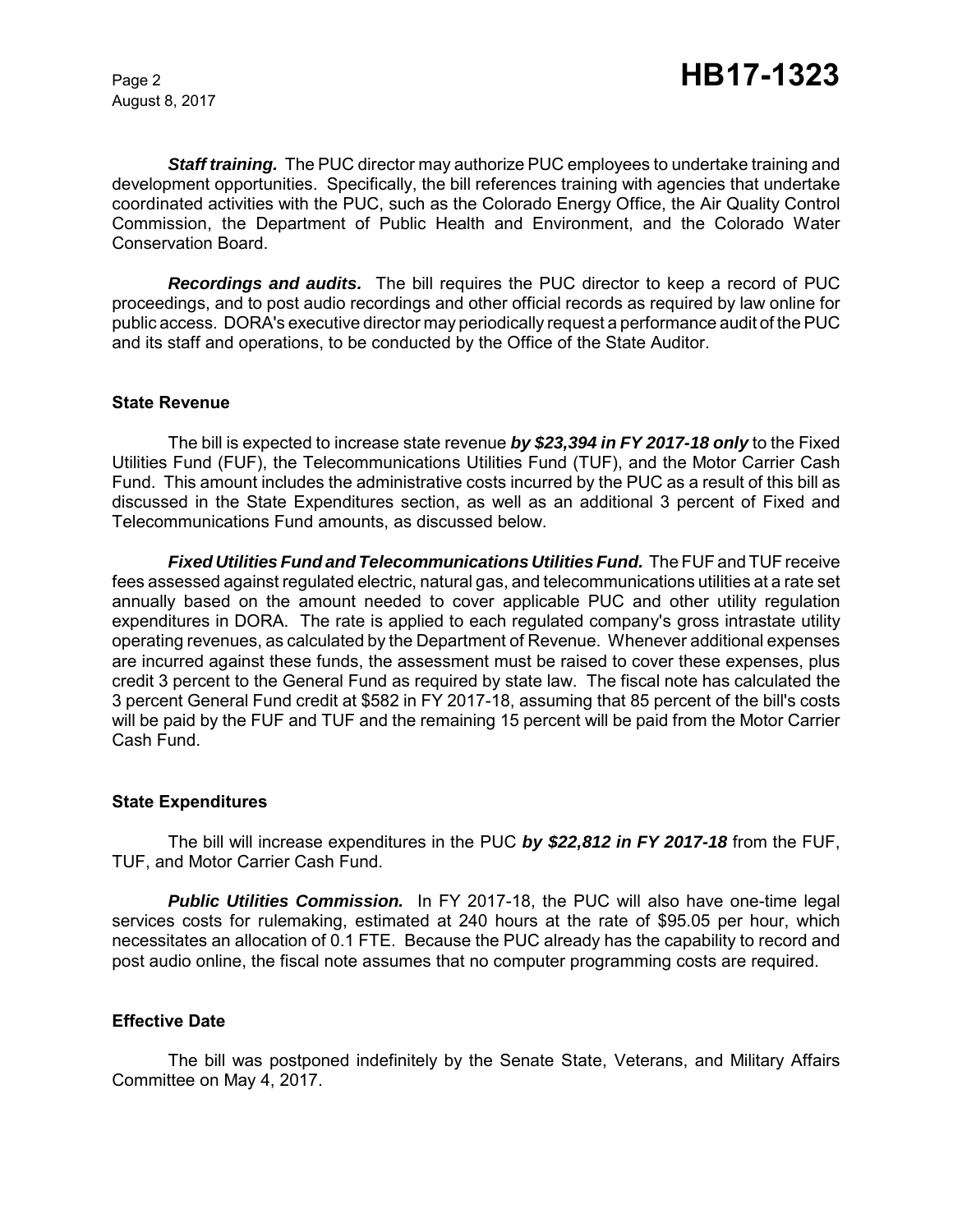August 8, 2017

*Staff training.* The PUC director may authorize PUC employees to undertake training and development opportunities. Specifically, the bill references training with agencies that undertake coordinated activities with the PUC, such as the Colorado Energy Office, the Air Quality Control Commission, the Department of Public Health and Environment, and the Colorado Water Conservation Board.

*Recordings and audits.* The bill requires the PUC director to keep a record of PUC proceedings, and to post audio recordings and other official records as required by law online for public access. DORA's executive director may periodically request a performance audit of the PUC and its staff and operations, to be conducted by the Office of the State Auditor.

#### **State Revenue**

The bill is expected to increase state revenue *by \$23,394 in FY 2017-18 only* to the Fixed Utilities Fund (FUF), the Telecommunications Utilities Fund (TUF), and the Motor Carrier Cash Fund. This amount includes the administrative costs incurred by the PUC as a result of this bill as discussed in the State Expenditures section, as well as an additional 3 percent of Fixed and Telecommunications Fund amounts, as discussed below.

*Fixed Utilities Fund and Telecommunications Utilities Fund.* The FUF and TUF receive fees assessed against regulated electric, natural gas, and telecommunications utilities at a rate set annually based on the amount needed to cover applicable PUC and other utility regulation expenditures in DORA. The rate is applied to each regulated company's gross intrastate utility operating revenues, as calculated by the Department of Revenue. Whenever additional expenses are incurred against these funds, the assessment must be raised to cover these expenses, plus credit 3 percent to the General Fund as required by state law. The fiscal note has calculated the 3 percent General Fund credit at \$582 in FY 2017-18, assuming that 85 percent of the bill's costs will be paid by the FUF and TUF and the remaining 15 percent will be paid from the Motor Carrier Cash Fund.

#### **State Expenditures**

The bill will increase expenditures in the PUC *by \$22,812 in FY 2017-18* from the FUF, TUF, and Motor Carrier Cash Fund.

**Public Utilities Commission.** In FY 2017-18, the PUC will also have one-time legal services costs for rulemaking, estimated at 240 hours at the rate of \$95.05 per hour, which necessitates an allocation of 0.1 FTE. Because the PUC already has the capability to record and post audio online, the fiscal note assumes that no computer programming costs are required.

#### **Effective Date**

The bill was postponed indefinitely by the Senate State, Veterans, and Military Affairs Committee on May 4, 2017.